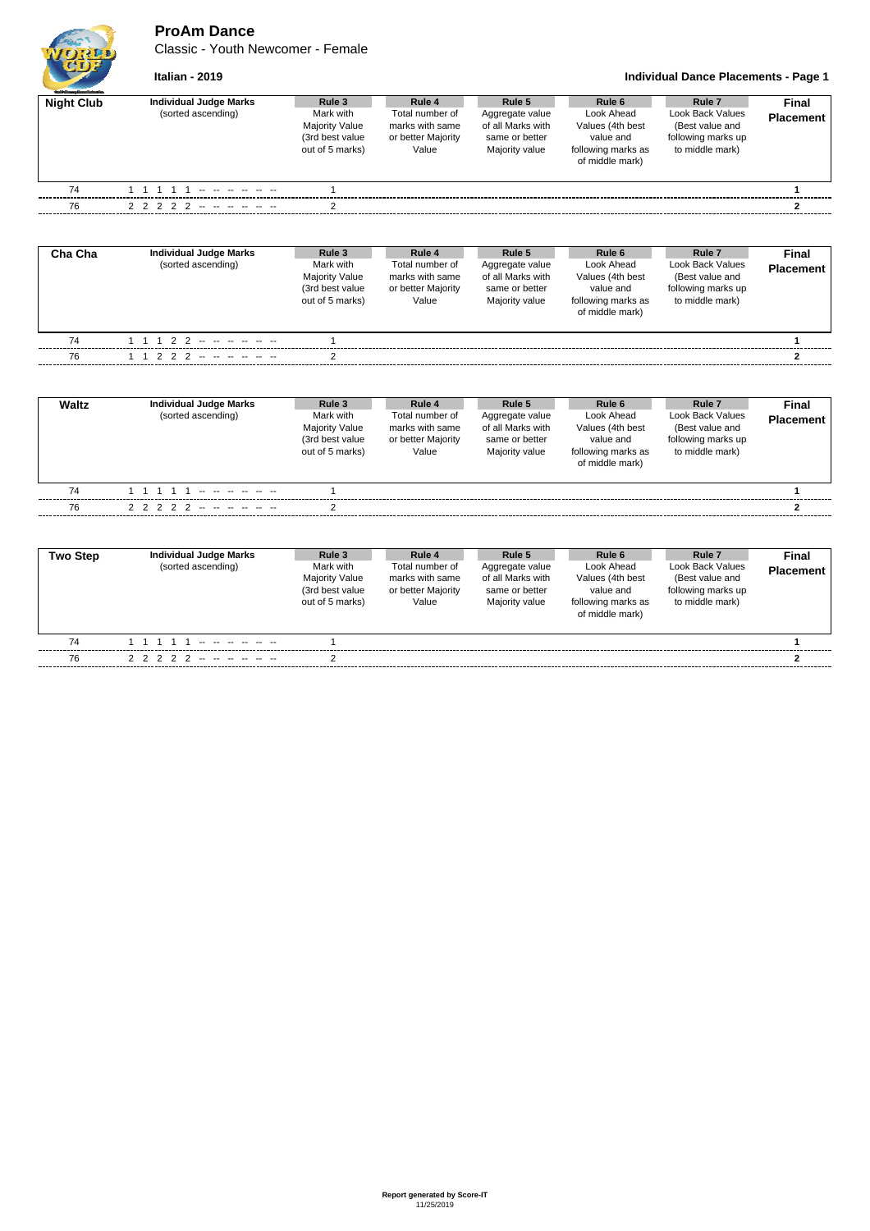**ProAm Dance**

Classic - Youth Newcomer - Female



**Italian - 2019 Individual Dance Placements - Page 1**

| <b>Guild Grantes Days of changing</b><br><b>Night Club</b> | Individual Judge Marks<br>(sorted ascending) | Rule 3<br>Mark with<br><b>Majority Value</b><br>(3rd best value<br>out of 5 marks) | Rule 4<br>Total number of<br>marks with same<br>or better Majority<br>Value | Rule 5<br>Aggregate value<br>of all Marks with<br>same or better<br>Majority value | Rule 6<br>Look Ahead<br>Values (4th best<br>value and<br>following marks as<br>of middle mark) | Rule 7<br>Look Back Values<br>(Best value and<br>following marks up<br>to middle mark) | <b>Final</b><br><b>Placement</b> |
|------------------------------------------------------------|----------------------------------------------|------------------------------------------------------------------------------------|-----------------------------------------------------------------------------|------------------------------------------------------------------------------------|------------------------------------------------------------------------------------------------|----------------------------------------------------------------------------------------|----------------------------------|
| 74                                                         |                                              |                                                                                    |                                                                             |                                                                                    |                                                                                                |                                                                                        |                                  |
| 76                                                         | 2 2 2 2 2 -- -- -- -- --                     |                                                                                    |                                                                             |                                                                                    |                                                                                                |                                                                                        |                                  |
|                                                            |                                              |                                                                                    |                                                                             |                                                                                    |                                                                                                |                                                                                        |                                  |

| Cha Cha | Individual Judge Marks<br>(sorted ascending) | Rule 3<br>Mark with<br>Majority Value<br>(3rd best value<br>out of 5 marks) | Rule 4<br>Total number of<br>marks with same<br>or better Majority<br>Value | Rule 5<br>Aggregate value<br>of all Marks with<br>same or better<br>Majority value | Rule 6<br>Look Ahead<br>Values (4th best<br>value and<br>following marks as<br>of middle mark) | Rule 7<br>Look Back Values<br>(Best value and<br>following marks up<br>to middle mark) | Final<br><b>Placement</b> |
|---------|----------------------------------------------|-----------------------------------------------------------------------------|-----------------------------------------------------------------------------|------------------------------------------------------------------------------------|------------------------------------------------------------------------------------------------|----------------------------------------------------------------------------------------|---------------------------|
| 74      | 1 1 1 2 2 -- -- -- -- -- --                  |                                                                             |                                                                             |                                                                                    |                                                                                                |                                                                                        |                           |
| 76      | 1 1 2 2 2 -- -- -- -- -- --                  |                                                                             |                                                                             |                                                                                    |                                                                                                |                                                                                        |                           |

| Waltz | Individual Judge Marks<br>(sorted ascending) | Rule 3<br>Mark with<br><b>Majority Value</b><br>(3rd best value<br>out of 5 marks) | Rule 4<br>Total number of<br>marks with same<br>or better Majority<br>Value | Rule 5<br>Aggregate value<br>of all Marks with<br>same or better<br>Majority value | Rule 6<br>Look Ahead<br>Values (4th best<br>value and<br>following marks as<br>of middle mark) | Rule <sub>7</sub><br>Look Back Values<br>(Best value and<br>following marks up<br>to middle mark) | Final<br><b>Placement</b> |
|-------|----------------------------------------------|------------------------------------------------------------------------------------|-----------------------------------------------------------------------------|------------------------------------------------------------------------------------|------------------------------------------------------------------------------------------------|---------------------------------------------------------------------------------------------------|---------------------------|
| 74    |                                              |                                                                                    |                                                                             |                                                                                    |                                                                                                |                                                                                                   |                           |
| 76    | 2 2 2 2 2 -- -- -- -- --                     |                                                                                    |                                                                             |                                                                                    |                                                                                                |                                                                                                   |                           |

| <b>Two Step</b> | <b>Individual Judge Marks</b><br>(sorted ascending) | Rule 3<br>Mark with<br><b>Majority Value</b><br>(3rd best value<br>out of 5 marks) | Rule 4<br>Total number of<br>marks with same<br>or better Majority<br>Value | Rule 5<br>Aggregate value<br>of all Marks with<br>same or better<br>Majority value | Rule 6<br>Look Ahead<br>Values (4th best<br>value and<br>following marks as<br>of middle mark) | Rule <sub>7</sub><br>Look Back Values<br>(Best value and<br>following marks up<br>to middle mark) | <b>Final</b><br><b>Placement</b> |
|-----------------|-----------------------------------------------------|------------------------------------------------------------------------------------|-----------------------------------------------------------------------------|------------------------------------------------------------------------------------|------------------------------------------------------------------------------------------------|---------------------------------------------------------------------------------------------------|----------------------------------|
| 74              | الموارد والمواردة المواردة                          |                                                                                    |                                                                             |                                                                                    |                                                                                                |                                                                                                   |                                  |
| 76              | 2 2 2 2 2 -- -- -- -- --                            |                                                                                    |                                                                             |                                                                                    |                                                                                                |                                                                                                   |                                  |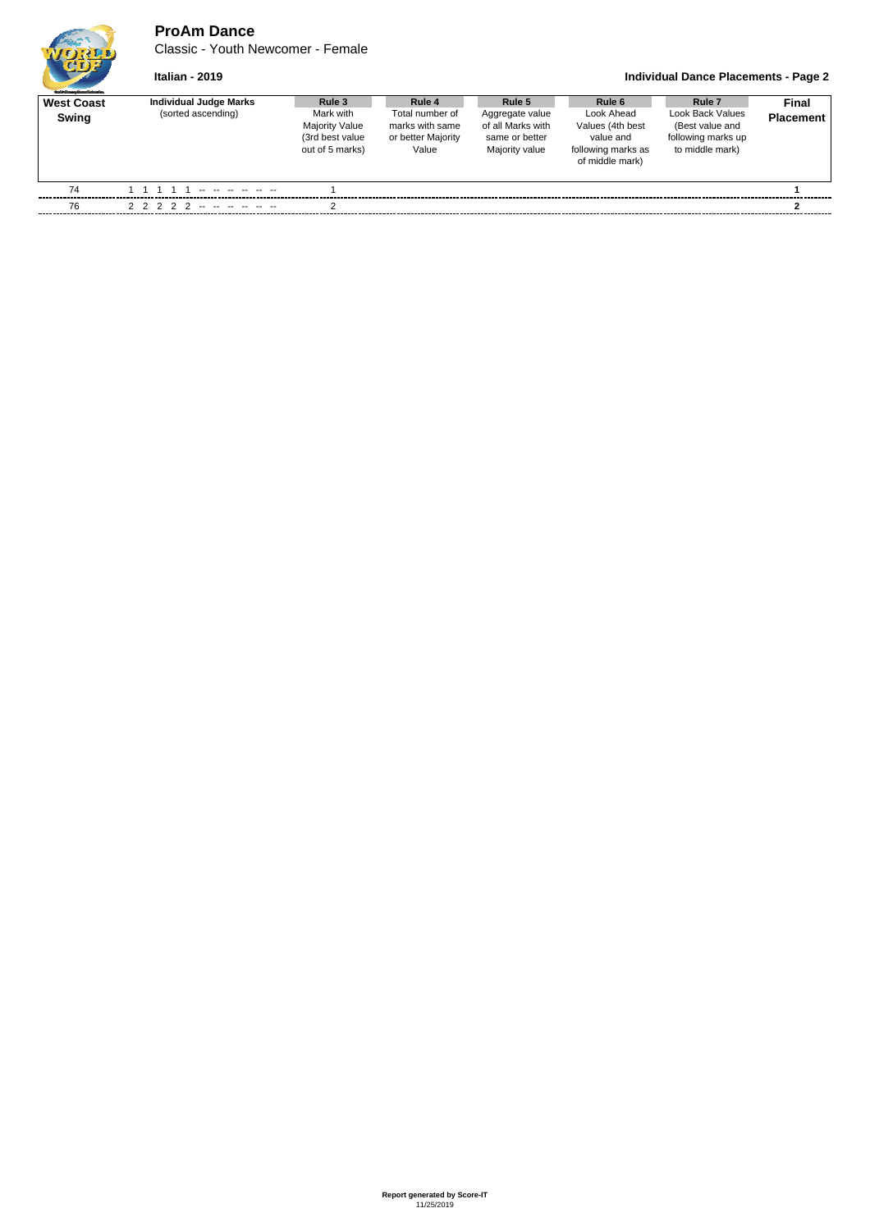## **ProAm Dance**

Classic - Youth Newcomer - Female

## **Italian - 2019 Individual Dance Placements - Page 2**

| <b>Guild Granty Drawfederates</b><br><b>West Coast</b><br>Swing | <b>Individual Judge Marks</b><br>(sorted ascending) | Rule 3<br>Mark with<br><b>Majority Value</b><br>(3rd best value<br>out of 5 marks) | Rule 4<br>Total number of<br>marks with same<br>or better Majority<br>Value | Rule 5<br>Aggregate value<br>of all Marks with<br>same or better<br>Majority value | Rule 6<br>Look Ahead<br>Values (4th best<br>value and<br>following marks as<br>of middle mark) | Rule <sub>7</sub><br>Look Back Values<br>(Best value and<br>following marks up<br>to middle mark) | <b>Final</b><br><b>Placement</b> |
|-----------------------------------------------------------------|-----------------------------------------------------|------------------------------------------------------------------------------------|-----------------------------------------------------------------------------|------------------------------------------------------------------------------------|------------------------------------------------------------------------------------------------|---------------------------------------------------------------------------------------------------|----------------------------------|
| 74                                                              | -- -- -- -- -- -- --                                |                                                                                    |                                                                             |                                                                                    |                                                                                                |                                                                                                   |                                  |
| 76                                                              | 2 2 2 2 2 -- -- -- -- --                            |                                                                                    |                                                                             |                                                                                    |                                                                                                |                                                                                                   |                                  |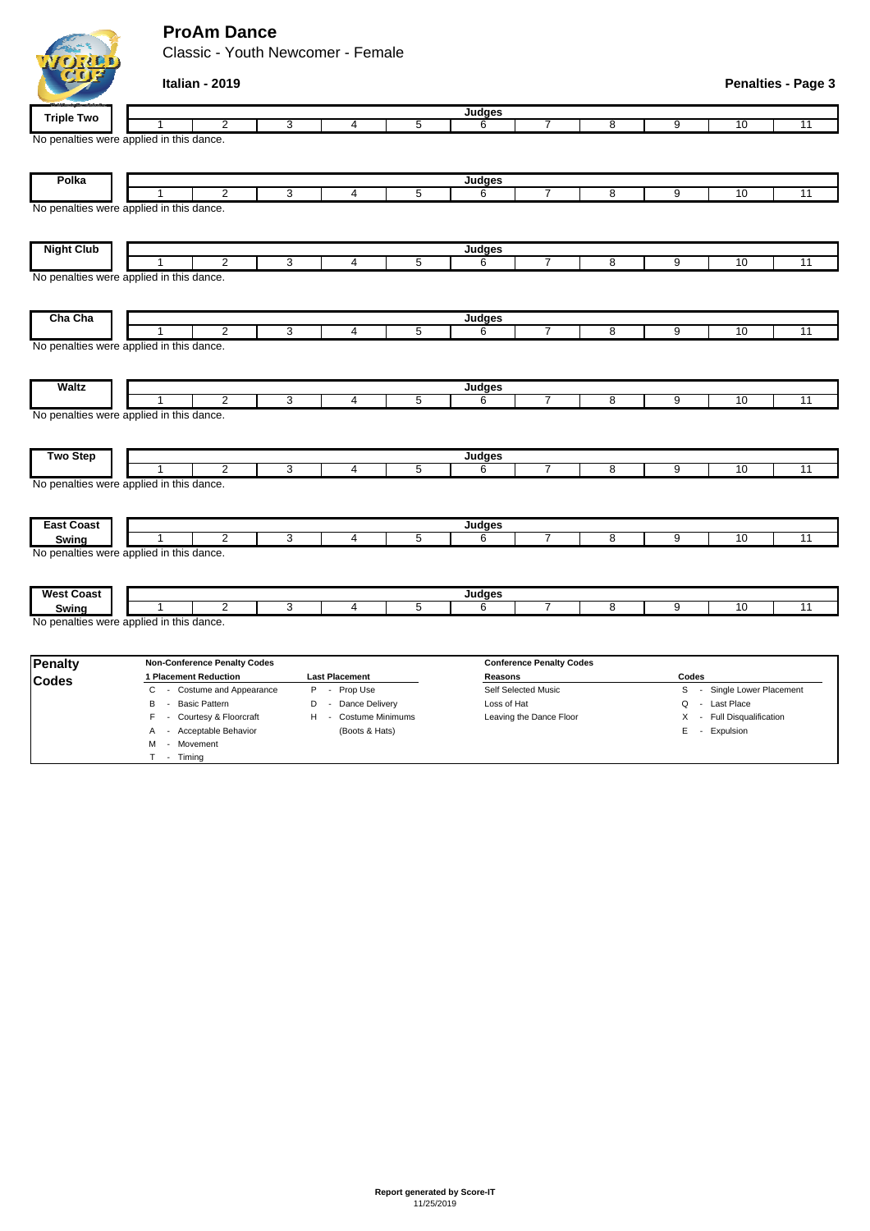## **ProAm Dance**

Classic - Youth Newcomer - Female

| <b>Triple Two</b>                                 |                       |                                     |   |                       |   | Judges        |                                 |   |       |                          |                 |
|---------------------------------------------------|-----------------------|-------------------------------------|---|-----------------------|---|---------------|---------------------------------|---|-------|--------------------------|-----------------|
|                                                   |                       | $\overline{2}$                      | 3 | 4                     | 5 | 6             | 7                               | 8 | 9     | 10                       | $\overline{11}$ |
| No penalties were applied in this dance.          |                       |                                     |   |                       |   |               |                                 |   |       |                          |                 |
|                                                   |                       |                                     |   |                       |   |               |                                 |   |       |                          |                 |
| Polka                                             |                       |                                     |   |                       |   |               |                                 |   |       |                          |                 |
|                                                   |                       | $\overline{2}$                      | 3 | 4                     | 5 | Judges<br>6   | $\overline{7}$                  | 8 | 9     | 10                       | 11              |
| No penalties were applied in this dance.          |                       |                                     |   |                       |   |               |                                 |   |       |                          |                 |
|                                                   |                       |                                     |   |                       |   |               |                                 |   |       |                          |                 |
|                                                   |                       |                                     |   |                       |   |               |                                 |   |       |                          |                 |
| <b>Night Club</b>                                 |                       |                                     |   |                       |   | <b>Judges</b> |                                 |   |       |                          |                 |
|                                                   | 1                     | $\overline{2}$                      | 3 | $\overline{4}$        | 5 | 6             | $\overline{7}$                  | 8 | 9     | 10                       | 11              |
| No penalties were applied in this dance.          |                       |                                     |   |                       |   |               |                                 |   |       |                          |                 |
|                                                   |                       |                                     |   |                       |   |               |                                 |   |       |                          |                 |
|                                                   |                       |                                     |   |                       |   |               |                                 |   |       |                          |                 |
| Cha Cha                                           |                       |                                     |   |                       |   | Judges        |                                 |   |       |                          |                 |
|                                                   | 1                     | $\overline{2}$                      | 3 | 4                     | 5 | 6             | $\overline{7}$                  | 8 | 9     | 10                       | 11              |
| No penalties were applied in this dance.          |                       |                                     |   |                       |   |               |                                 |   |       |                          |                 |
|                                                   |                       |                                     |   |                       |   |               |                                 |   |       |                          |                 |
|                                                   |                       |                                     |   |                       |   |               |                                 |   |       |                          |                 |
| <b>Waltz</b>                                      |                       | $\overline{2}$                      | 3 | 4                     | 5 | Judges<br>6   | $\overline{7}$                  | 8 | 9     | 10                       | $\overline{11}$ |
| No penalties were applied in this dance.          |                       |                                     |   |                       |   |               |                                 |   |       |                          |                 |
|                                                   |                       |                                     |   |                       |   |               |                                 |   |       |                          |                 |
|                                                   |                       |                                     |   |                       |   |               |                                 |   |       |                          |                 |
| <b>Two Step</b>                                   |                       |                                     |   |                       |   | Judges        |                                 |   |       |                          |                 |
|                                                   | 1                     | $\overline{2}$                      | 3 | $\overline{4}$        | 5 | 6             | $\overline{7}$                  | 8 | 9     | 10                       | $\overline{11}$ |
| No penalties were applied in this dance.          |                       |                                     |   |                       |   |               |                                 |   |       |                          |                 |
|                                                   |                       |                                     |   |                       |   |               |                                 |   |       |                          |                 |
|                                                   |                       |                                     |   |                       |   |               |                                 |   |       |                          |                 |
| <b>East Coast</b>                                 |                       |                                     |   |                       |   | Judges        |                                 |   |       |                          |                 |
| Swing                                             | 1                     | $\overline{2}$                      | 3 | 4                     | 5 | 6             | $\overline{7}$                  | 8 | 9     | 10                       | 11              |
| No penalties were applied in this dance.          |                       |                                     |   |                       |   |               |                                 |   |       |                          |                 |
|                                                   |                       |                                     |   |                       |   |               |                                 |   |       |                          |                 |
|                                                   |                       |                                     |   |                       |   |               |                                 |   |       |                          |                 |
| <b>West Coast</b>                                 |                       | $\overline{2}$                      | 3 | 4                     | 5 | Judges<br>6   | $\overline{7}$                  | 8 | 9     | 10                       | $\overline{11}$ |
| Swing<br>No penalties were applied in this dance. |                       |                                     |   |                       |   |               |                                 |   |       |                          |                 |
|                                                   |                       |                                     |   |                       |   |               |                                 |   |       |                          |                 |
|                                                   |                       |                                     |   |                       |   |               |                                 |   |       |                          |                 |
| <b>Penalty</b>                                    |                       | <b>Non-Conference Penalty Codes</b> |   |                       |   |               | <b>Conference Penalty Codes</b> |   |       |                          |                 |
| <b>Codes</b>                                      | 1 Placement Reduction |                                     |   | <b>Last Placement</b> |   | Reasons       |                                 |   | Codes |                          |                 |
|                                                   | C                     | - Costume and Appearance            | P | - Prop Use            |   |               | Self Selected Music             |   | S     | - Single Lower Placement |                 |

**Italian - 2019 Penalties - Page 3**

C - Costume and Appearance P - Prop Use Self Selected Music S - Single Lower Placement B - Basic Pattern **D** - Dance Delivery Loss of Hat **Loss of Hat Q - Last Place** F - Courtesy & Floorcraft H - Costume Minimums Leaving the Dance Floor X - Full Disqualification A - Acceptable Behavior (Boots & Hats) E - Expulsion M - Movement T - Timing